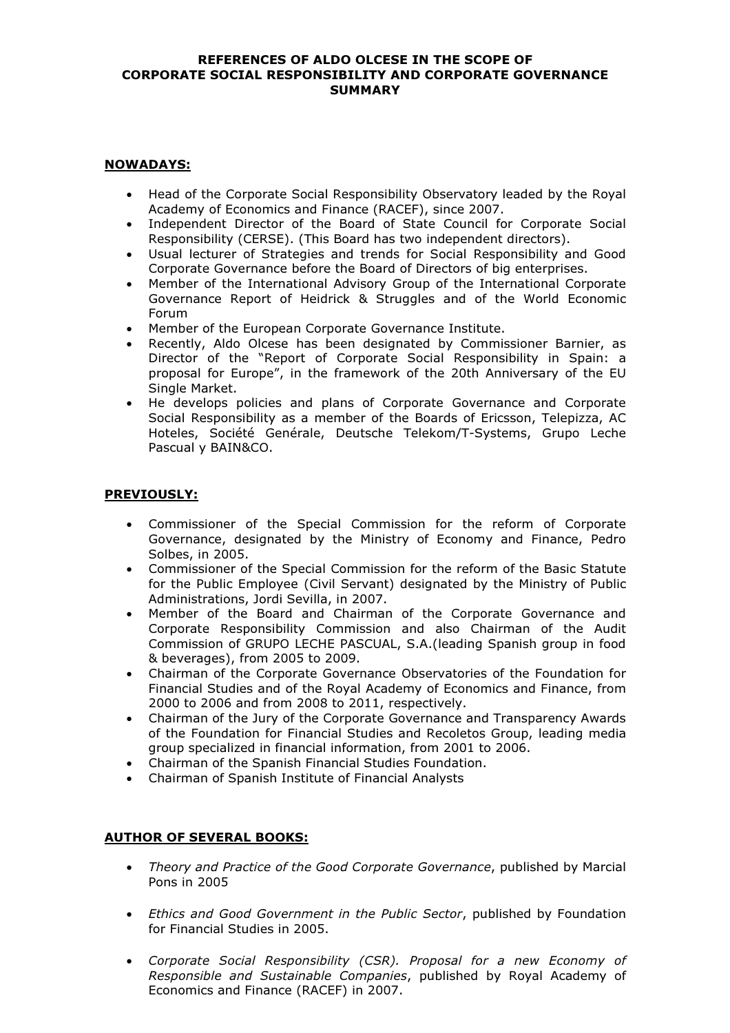#### REFERENCES OF ALDO OLCESE IN THE SCOPE OF CORPORATE SOCIAL RESPONSIBILITY AND CORPORATE GOVERNANCE **SUMMARY**

### NOWADAYS:

- Head of the Corporate Social Responsibility Observatory leaded by the Royal Academy of Economics and Finance (RACEF), since 2007.
- Independent Director of the Board of State Council for Corporate Social Responsibility (CERSE). (This Board has two independent directors).
- Usual lecturer of Strategies and trends for Social Responsibility and Good Corporate Governance before the Board of Directors of big enterprises.
- Member of the International Advisory Group of the International Corporate Governance Report of Heidrick & Struggles and of the World Economic Forum
- Member of the European Corporate Governance Institute.
- Recently, Aldo Olcese has been designated by Commissioner Barnier, as Director of the "Report of Corporate Social Responsibility in Spain: a proposal for Europe", in the framework of the 20th Anniversary of the EU Single Market.
- He develops policies and plans of Corporate Governance and Corporate Social Responsibility as a member of the Boards of Ericsson, Telepizza, AC Hoteles, Société Genérale, Deutsche Telekom/T-Systems, Grupo Leche Pascual y BAIN&CO.

## PREVIOUSLY:

- Commissioner of the Special Commission for the reform of Corporate Governance, designated by the Ministry of Economy and Finance, Pedro Solbes, in 2005.
- Commissioner of the Special Commission for the reform of the Basic Statute for the Public Employee (Civil Servant) designated by the Ministry of Public Administrations, Jordi Sevilla, in 2007.
- Member of the Board and Chairman of the Corporate Governance and Corporate Responsibility Commission and also Chairman of the Audit Commission of GRUPO LECHE PASCUAL, S.A.(leading Spanish group in food & beverages), from 2005 to 2009.
- Chairman of the Corporate Governance Observatories of the Foundation for Financial Studies and of the Royal Academy of Economics and Finance, from 2000 to 2006 and from 2008 to 2011, respectively.
- Chairman of the Jury of the Corporate Governance and Transparency Awards of the Foundation for Financial Studies and Recoletos Group, leading media group specialized in financial information, from 2001 to 2006.
- Chairman of the Spanish Financial Studies Foundation.
- Chairman of Spanish Institute of Financial Analysts

# AUTHOR OF SEVERAL BOOKS:

- Theory and Practice of the Good Corporate Governance, published by Marcial Pons in 2005
- Ethics and Good Government in the Public Sector, published by Foundation for Financial Studies in 2005.
- Corporate Social Responsibility (CSR). Proposal for a new Economy of Responsible and Sustainable Companies, published by Royal Academy of Economics and Finance (RACEF) in 2007.